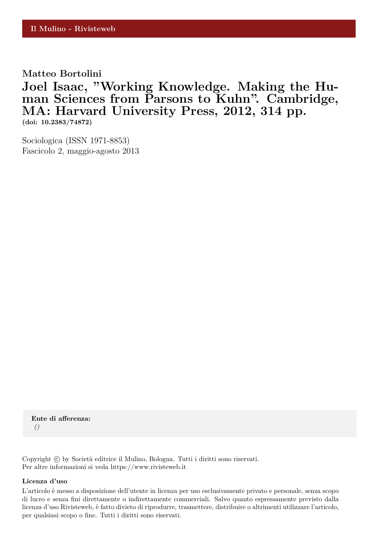**Matteo Bortolini**

**Joel Isaac, "Working Knowledge. Making the Human Sciences from Parsons to Kuhn". Cambridge, MA: Harvard University Press, 2012, 314 pp.**

**(doi: 10.2383/74872)**

Sociologica (ISSN 1971-8853) Fascicolo 2, maggio-agosto 2013

**Ente di afferenza:** *()*

Copyright © by Società editrice il Mulino, Bologna. Tutti i diritti sono riservati. Per altre informazioni si veda https://www.rivisteweb.it

#### **Licenza d'uso**

L'articolo è messo a disposizione dell'utente in licenza per uso esclusivamente privato e personale, senza scopo di lucro e senza fini direttamente o indirettamente commerciali. Salvo quanto espressamente previsto dalla licenza d'uso Rivisteweb, è fatto divieto di riprodurre, trasmettere, distribuire o altrimenti utilizzare l'articolo, per qualsiasi scopo o fine. Tutti i diritti sono riservati.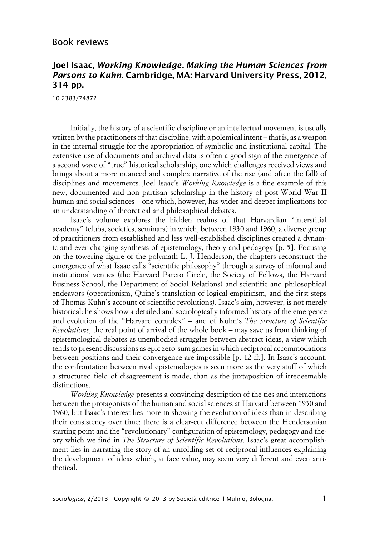### Book reviews

## **Joel Isaac, Working Knowledge. Making the Human Sciences from Parsons to Kuhn. Cambridge, MA: Harvard University Press, 2012, 314 pp.**

10.2383/74872

Initially, the history of a scientific discipline or an intellectual movement is usually written by the practitioners of that discipline, with a polemical intent – that is, as a weapon in the internal struggle for the appropriation of symbolic and institutional capital. The extensive use of documents and archival data is often a good sign of the emergence of a second wave of "true" historical scholarship, one which challenges received views and brings about a more nuanced and complex narrative of the rise (and often the fall) of disciplines and movements. Joel Isaac's *Working Knowledge* is a fine example of this new, documented and non partisan scholarship in the history of post-World War II human and social sciences – one which, however, has wider and deeper implications for an understanding of theoretical and philosophical debates.

Isaac's volume explores the hidden realms of that Harvardian "interstitial academy" (clubs, societies, seminars) in which, between 1930 and 1960, a diverse group of practitioners from established and less well-established disciplines created a dynamic and ever-changing synthesis of epistemology, theory and pedagogy [p. 5]. Focusing on the towering figure of the polymath L. J. Henderson, the chapters reconstruct the emergence of what Isaac calls "scientific philosophy" through a survey of informal and institutional venues (the Harvard Pareto Circle, the Society of Fellows, the Harvard Business School, the Department of Social Relations) and scientific and philosophical endeavors (operationism, Quine's translation of logical empiricism, and the first steps of Thomas Kuhn's account of scientific revolutions). Isaac's aim, however, is not merely historical: he shows how a detailed and sociologically informed history of the emergence and evolution of the "Harvard complex" – and of Kuhn's *The Structure of Scientific Revolutions*, the real point of arrival of the whole book – may save us from thinking of epistemological debates as unembodied struggles between abstract ideas, a view which tends to present discussions as epic zero-sum games in which reciprocal accommodations between positions and their convergence are impossible [p. 12 ff.]. In Isaac's account, the confrontation between rival epistemologies is seen more as the very stuff of which a structured field of disagreement is made, than as the juxtaposition of irredeemable distinctions.

*Working Knowledge* presents a convincing description of the ties and interactions between the protagonists of the human and social sciences at Harvard between 1930 and 1960, but Isaac's interest lies more in showing the evolution of ideas than in describing their consistency over time: there is a clear-cut difference between the Hendersonian starting point and the "revolutionary" configuration of epistemology, pedagogy and theory which we find in *The Structure of Scientific Revolutions*. Isaac's great accomplishment lies in narrating the story of an unfolding set of reciprocal influences explaining the development of ideas which, at face value, may seem very different and even antithetical.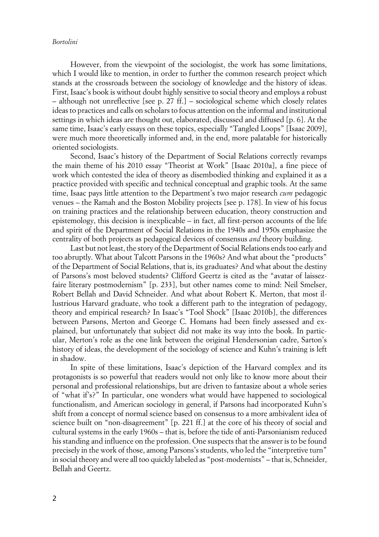#### *Bortolini*

However, from the viewpoint of the sociologist, the work has some limitations, which I would like to mention, in order to further the common research project which stands at the crossroads between the sociology of knowledge and the history of ideas. First, Isaac's book is without doubt highly sensitive to social theory and employs a robust – although not unreflective [see p. 27 ff.] – sociological scheme which closely relates ideas to practices and calls on scholars to focus attention on the informal and institutional settings in which ideas are thought out, elaborated, discussed and diffused [p. 6]. At the same time, Isaac's early essays on these topics, especially "Tangled Loops" [Isaac 2009], were much more theoretically informed and, in the end, more palatable for historically oriented sociologists.

Second, Isaac's history of the Department of Social Relations correctly revamps the main theme of his 2010 essay "Theorist at Work" [Isaac 2010a], a fine piece of work which contested the idea of theory as disembodied thinking and explained it as a practice provided with specific and technical conceptual and graphic tools. At the same time, Isaac pays little attention to the Department's two major research *cum* pedagogic venues – the Ramah and the Boston Mobility projects [see p. 178]. In view of his focus on training practices and the relationship between education, theory construction and epistemology, this decision is inexplicable – in fact, all first-person accounts of the life and spirit of the Department of Social Relations in the 1940s and 1950s emphasize the centrality of both projects as pedagogical devices of consensus *and* theory building.

Last but not least, the story of the Department of Social Relations ends too early and too abruptly. What about Talcott Parsons in the 1960s? And what about the "products" of the Department of Social Relations, that is, its graduates? And what about the destiny of Parsons's most beloved students? Clifford Geertz is cited as the "avatar of laissezfaire literary postmodernism" [p. 233], but other names come to mind: Neil Smelser, Robert Bellah and David Schneider. And what about Robert K. Merton, that most illustrious Harvard graduate, who took a different path to the integration of pedagogy, theory and empirical research? In Isaac's "Tool Shock" [Isaac 2010b], the differences between Parsons, Merton and George C. Homans had been finely assessed and explained, but unfortunately that subject did not make its way into the book. In particular, Merton's role as the one link between the original Hendersonian cadre, Sarton's history of ideas, the development of the sociology of science and Kuhn's training is left in shadow.

In spite of these limitations, Isaac's depiction of the Harvard complex and its protagonists is so powerful that readers would not only like to know more about their personal and professional relationships, but are driven to fantasize about a whole series of "what if's?" In particular, one wonders what would have happened to sociological functionalism, and American sociology in general, if Parsons had incorporated Kuhn's shift from a concept of normal science based on consensus to a more ambivalent idea of science built on "non-disagreement" [p. 221 ff.] at the core of his theory of social and cultural systems in the early 1960s – that is, before the tide of anti-Parsonianism reduced his standing and influence on the profession. One suspects that the answer is to be found precisely in the work of those, among Parsons's students, who led the "interpretive turn" in social theory and were all too quickly labeled as "post-modernists" – that is, Schneider, Bellah and Geertz.